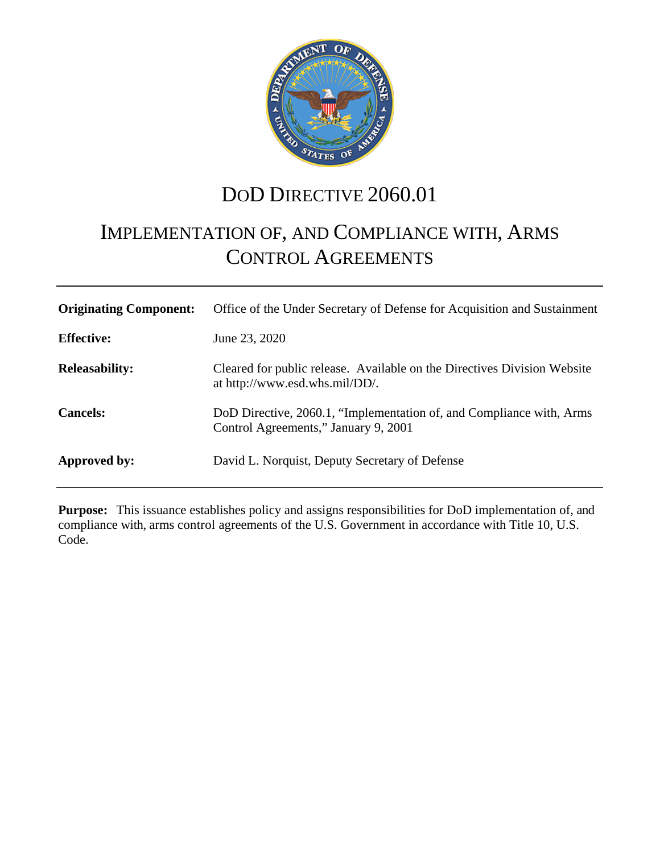

# DOD DIRECTIVE 2060.01

# <span id="page-0-0"></span>IMPLEMENTATION OF, AND COMPLIANCE WITH, ARMS CONTROL AGREEMENTS

| <b>Originating Component:</b> | Office of the Under Secretary of Defense for Acquisition and Sustainment                                     |
|-------------------------------|--------------------------------------------------------------------------------------------------------------|
| <b>Effective:</b>             | June 23, 2020                                                                                                |
| <b>Releasability:</b>         | Cleared for public release. Available on the Directives Division Website<br>at http://www.esd.whs.mil/DD/.   |
| <b>Cancels:</b>               | DoD Directive, 2060.1, "Implementation of, and Compliance with, Arms<br>Control Agreements," January 9, 2001 |
| Approved by:                  | David L. Norquist, Deputy Secretary of Defense                                                               |

**Purpose:** This issuance establishes policy and assigns responsibilities for DoD implementation of, and compliance with, arms control agreements of the U.S. Government in accordance with Title 10, U.S. Code.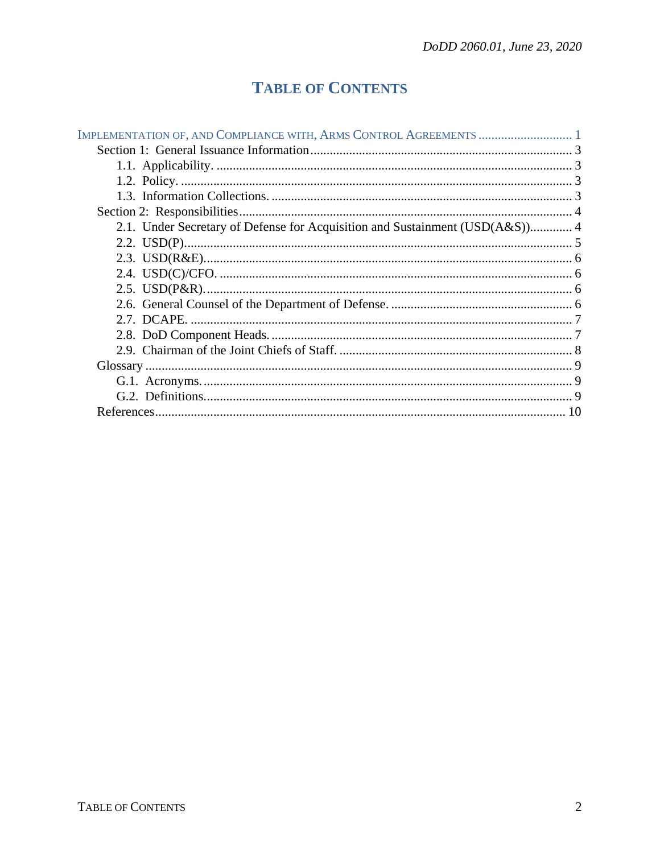## **TABLE OF CONTENTS**

| 2.1. Under Secretary of Defense for Acquisition and Sustainment (USD(A&S)) 4 |  |
|------------------------------------------------------------------------------|--|
|                                                                              |  |
|                                                                              |  |
|                                                                              |  |
|                                                                              |  |
|                                                                              |  |
|                                                                              |  |
|                                                                              |  |
|                                                                              |  |
|                                                                              |  |
|                                                                              |  |
|                                                                              |  |
|                                                                              |  |
|                                                                              |  |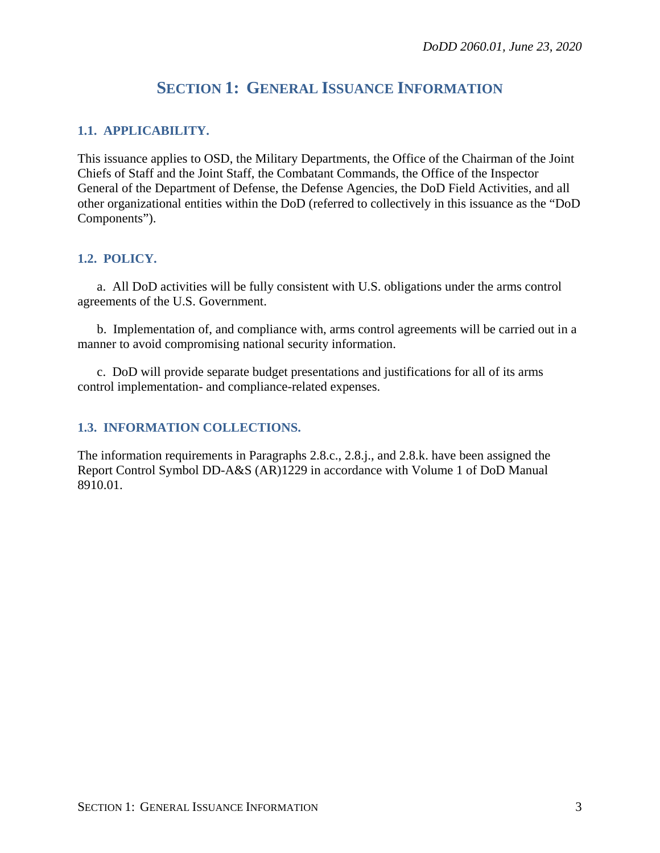## **SECTION 1: GENERAL ISSUANCE INFORMATION**

#### <span id="page-2-1"></span><span id="page-2-0"></span>**1.1. APPLICABILITY.**

This issuance applies to OSD, the Military Departments, the Office of the Chairman of the Joint Chiefs of Staff and the Joint Staff, the Combatant Commands, the Office of the Inspector General of the Department of Defense, the Defense Agencies, the DoD Field Activities, and all other organizational entities within the DoD (referred to collectively in this issuance as the "DoD Components").

#### <span id="page-2-2"></span>**1.2. POLICY.**

a. All DoD activities will be fully consistent with U.S. obligations under the arms control agreements of the U.S. Government.

b. Implementation of, and compliance with, arms control agreements will be carried out in a manner to avoid compromising national security information.

c. DoD will provide separate budget presentations and justifications for all of its arms control implementation- and compliance-related expenses.

### <span id="page-2-3"></span>**1.3. INFORMATION COLLECTIONS.**

The information requirements in Paragraphs 2.8.c., 2.8.j., and 2.8.k. have been assigned the Report Control Symbol DD-A&S (AR)1229 in accordance with Volume 1 of DoD Manual 8910.01.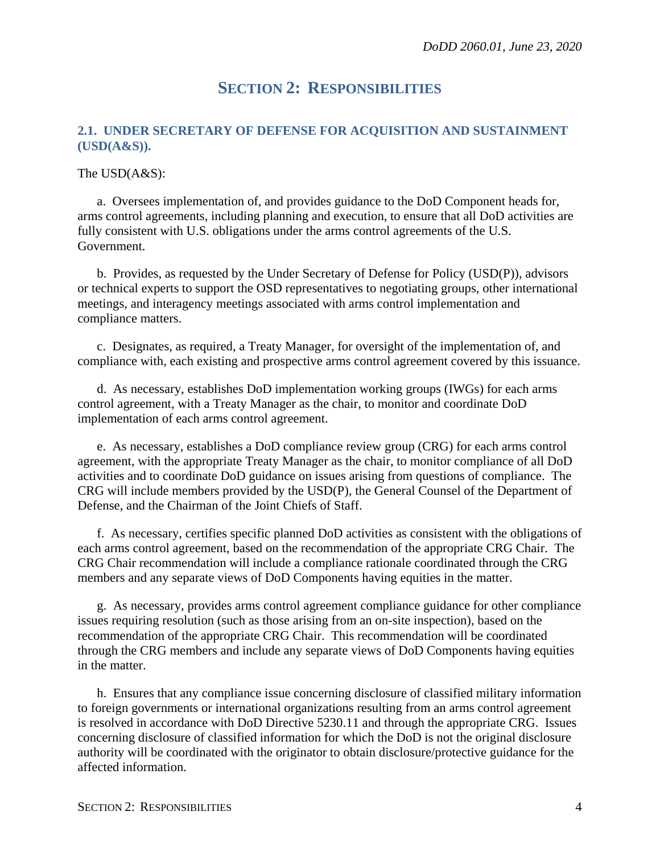## **SECTION 2: RESPONSIBILITIES**

#### <span id="page-3-1"></span><span id="page-3-0"></span>**2.1. UNDER SECRETARY OF DEFENSE FOR ACQUISITION AND SUSTAINMENT (USD(A&S)).**

The USD(A&S):

a. Oversees implementation of, and provides guidance to the DoD Component heads for, arms control agreements, including planning and execution, to ensure that all DoD activities are fully consistent with U.S. obligations under the arms control agreements of the U.S. Government.

b. Provides, as requested by the Under Secretary of Defense for Policy (USD(P)), advisors or technical experts to support the OSD representatives to negotiating groups, other international meetings, and interagency meetings associated with arms control implementation and compliance matters.

c. Designates, as required, a Treaty Manager, for oversight of the implementation of, and compliance with, each existing and prospective arms control agreement covered by this issuance.

d. As necessary, establishes DoD implementation working groups (IWGs) for each arms control agreement, with a Treaty Manager as the chair, to monitor and coordinate DoD implementation of each arms control agreement.

e. As necessary, establishes a DoD compliance review group (CRG) for each arms control agreement, with the appropriate Treaty Manager as the chair, to monitor compliance of all DoD activities and to coordinate DoD guidance on issues arising from questions of compliance. The CRG will include members provided by the USD(P), the General Counsel of the Department of Defense, and the Chairman of the Joint Chiefs of Staff.

f. As necessary, certifies specific planned DoD activities as consistent with the obligations of each arms control agreement, based on the recommendation of the appropriate CRG Chair. The CRG Chair recommendation will include a compliance rationale coordinated through the CRG members and any separate views of DoD Components having equities in the matter.

g. As necessary, provides arms control agreement compliance guidance for other compliance issues requiring resolution (such as those arising from an on-site inspection), based on the recommendation of the appropriate CRG Chair. This recommendation will be coordinated through the CRG members and include any separate views of DoD Components having equities in the matter.

h. Ensures that any compliance issue concerning disclosure of classified military information to foreign governments or international organizations resulting from an arms control agreement is resolved in accordance with DoD Directive 5230.11 and through the appropriate CRG. Issues concerning disclosure of classified information for which the DoD is not the original disclosure authority will be coordinated with the originator to obtain disclosure/protective guidance for the affected information.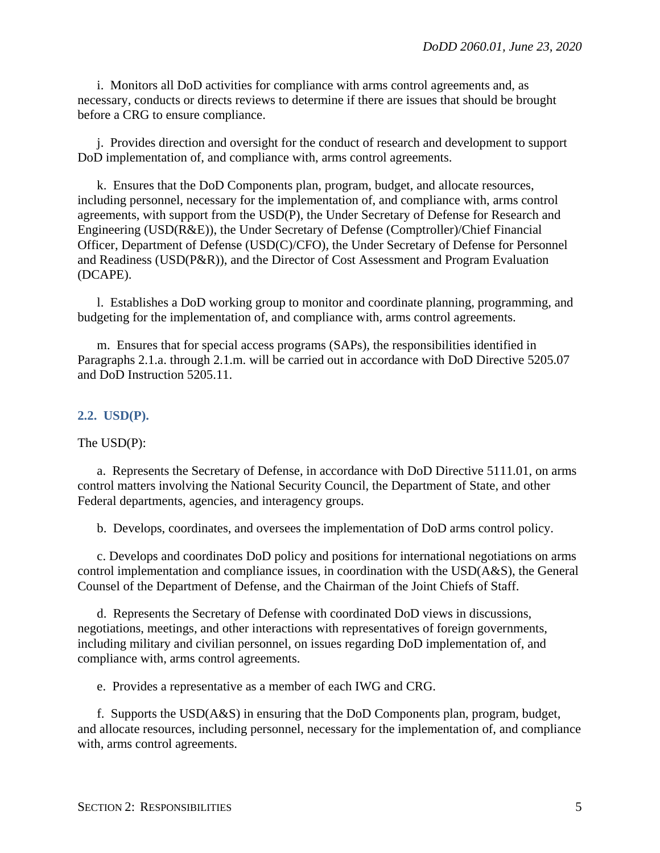i. Monitors all DoD activities for compliance with arms control agreements and, as necessary, conducts or directs reviews to determine if there are issues that should be brought before a CRG to ensure compliance.

j. Provides direction and oversight for the conduct of research and development to support DoD implementation of, and compliance with, arms control agreements.

k. Ensures that the DoD Components plan, program, budget, and allocate resources, including personnel, necessary for the implementation of, and compliance with, arms control agreements, with support from the USD(P), the Under Secretary of Defense for Research and Engineering (USD(R&E)), the Under Secretary of Defense (Comptroller)/Chief Financial Officer, Department of Defense (USD(C)/CFO), the Under Secretary of Defense for Personnel and Readiness (USD(P&R)), and the Director of Cost Assessment and Program Evaluation (DCAPE).

l. Establishes a DoD working group to monitor and coordinate planning, programming, and budgeting for the implementation of, and compliance with, arms control agreements.

m. Ensures that for special access programs (SAPs), the responsibilities identified in Paragraphs 2.1.a. through 2.1.m. will be carried out in accordance with DoD Directive 5205.07 and DoD Instruction 5205.11.

#### <span id="page-4-0"></span>**2.2. USD(P).**

The USD(P):

a. Represents the Secretary of Defense, in accordance with DoD Directive 5111.01, on arms control matters involving the National Security Council, the Department of State, and other Federal departments, agencies, and interagency groups.

b. Develops, coordinates, and oversees the implementation of DoD arms control policy.

c. Develops and coordinates DoD policy and positions for international negotiations on arms control implementation and compliance issues, in coordination with the USD(A&S), the General Counsel of the Department of Defense, and the Chairman of the Joint Chiefs of Staff.

d. Represents the Secretary of Defense with coordinated DoD views in discussions, negotiations, meetings, and other interactions with representatives of foreign governments, including military and civilian personnel, on issues regarding DoD implementation of, and compliance with, arms control agreements.

e. Provides a representative as a member of each IWG and CRG.

f. Supports the USD(A&S) in ensuring that the DoD Components plan, program, budget, and allocate resources, including personnel, necessary for the implementation of, and compliance with, arms control agreements.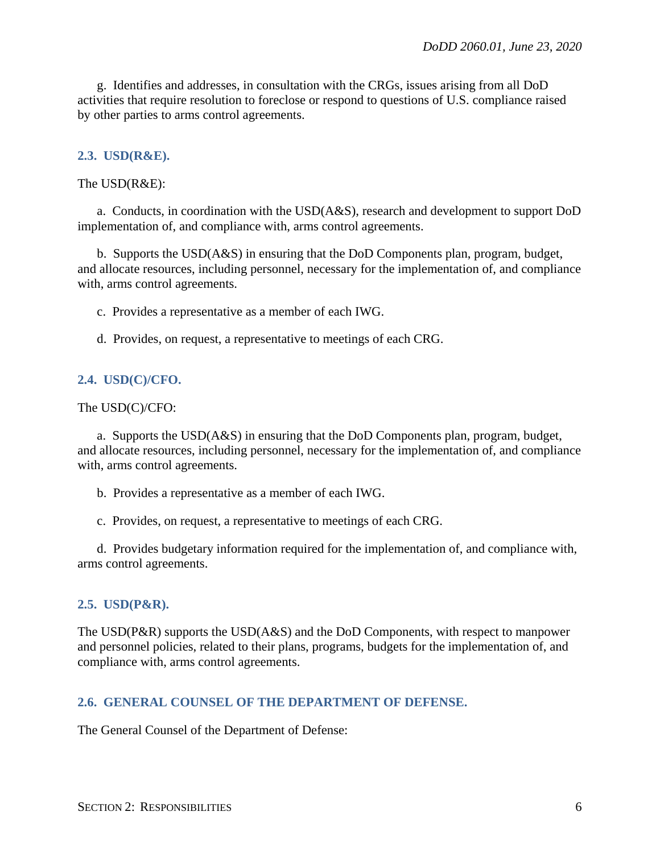g. Identifies and addresses, in consultation with the CRGs, issues arising from all DoD activities that require resolution to foreclose or respond to questions of U.S. compliance raised by other parties to arms control agreements.

#### <span id="page-5-0"></span>**2.3. USD(R&E).**

The USD(R&E):

a. Conducts, in coordination with the USD(A&S), research and development to support DoD implementation of, and compliance with, arms control agreements.

b. Supports the USD(A&S) in ensuring that the DoD Components plan, program, budget, and allocate resources, including personnel, necessary for the implementation of, and compliance with, arms control agreements.

c. Provides a representative as a member of each IWG.

d. Provides, on request, a representative to meetings of each CRG.

#### <span id="page-5-1"></span>**2.4. USD(C)/CFO.**

The USD(C)/CFO:

a. Supports the USD(A&S) in ensuring that the DoD Components plan, program, budget, and allocate resources, including personnel, necessary for the implementation of, and compliance with, arms control agreements.

b. Provides a representative as a member of each IWG.

c. Provides, on request, a representative to meetings of each CRG.

d. Provides budgetary information required for the implementation of, and compliance with, arms control agreements.

#### <span id="page-5-2"></span>**2.5. USD(P&R).**

The USD(P&R) supports the USD(A&S) and the DoD Components, with respect to manpower and personnel policies, related to their plans, programs, budgets for the implementation of, and compliance with, arms control agreements.

#### <span id="page-5-3"></span>**2.6. GENERAL COUNSEL OF THE DEPARTMENT OF DEFENSE.**

The General Counsel of the Department of Defense: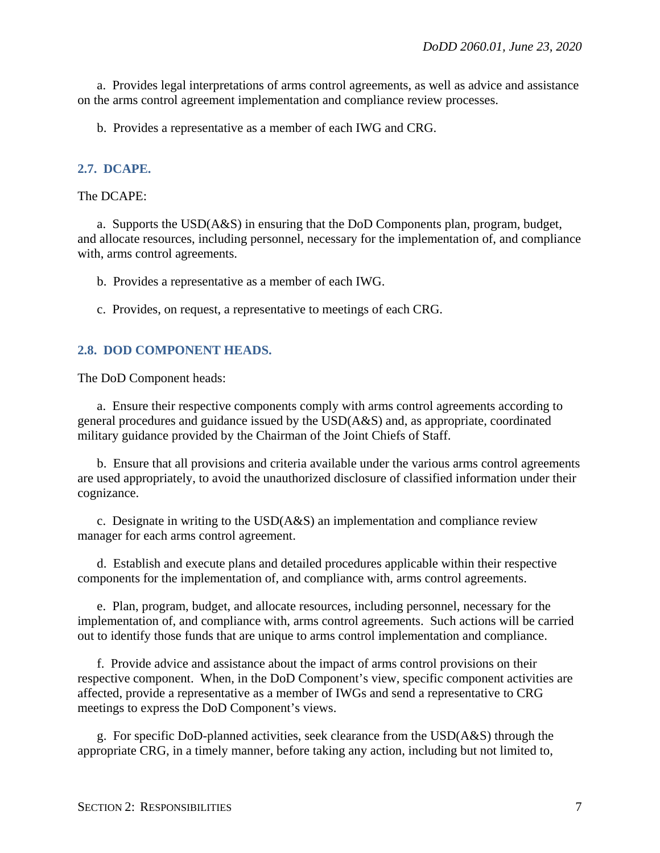a. Provides legal interpretations of arms control agreements, as well as advice and assistance on the arms control agreement implementation and compliance review processes.

b. Provides a representative as a member of each IWG and CRG.

#### <span id="page-6-0"></span>**2.7. DCAPE.**

#### The DCAPE:

a. Supports the USD(A&S) in ensuring that the DoD Components plan, program, budget, and allocate resources, including personnel, necessary for the implementation of, and compliance with, arms control agreements.

b. Provides a representative as a member of each IWG.

c. Provides, on request, a representative to meetings of each CRG.

#### <span id="page-6-1"></span>**2.8. DOD COMPONENT HEADS.**

The DoD Component heads:

a. Ensure their respective components comply with arms control agreements according to general procedures and guidance issued by the USD(A&S) and, as appropriate, coordinated military guidance provided by the Chairman of the Joint Chiefs of Staff.

b. Ensure that all provisions and criteria available under the various arms control agreements are used appropriately, to avoid the unauthorized disclosure of classified information under their cognizance.

c. Designate in writing to the USD(A&S) an implementation and compliance review manager for each arms control agreement.

d. Establish and execute plans and detailed procedures applicable within their respective components for the implementation of, and compliance with, arms control agreements.

e. Plan, program, budget, and allocate resources, including personnel, necessary for the implementation of, and compliance with, arms control agreements. Such actions will be carried out to identify those funds that are unique to arms control implementation and compliance.

f. Provide advice and assistance about the impact of arms control provisions on their respective component. When, in the DoD Component's view, specific component activities are affected, provide a representative as a member of IWGs and send a representative to CRG meetings to express the DoD Component's views.

g. For specific DoD-planned activities, seek clearance from the USD(A&S) through the appropriate CRG, in a timely manner, before taking any action, including but not limited to,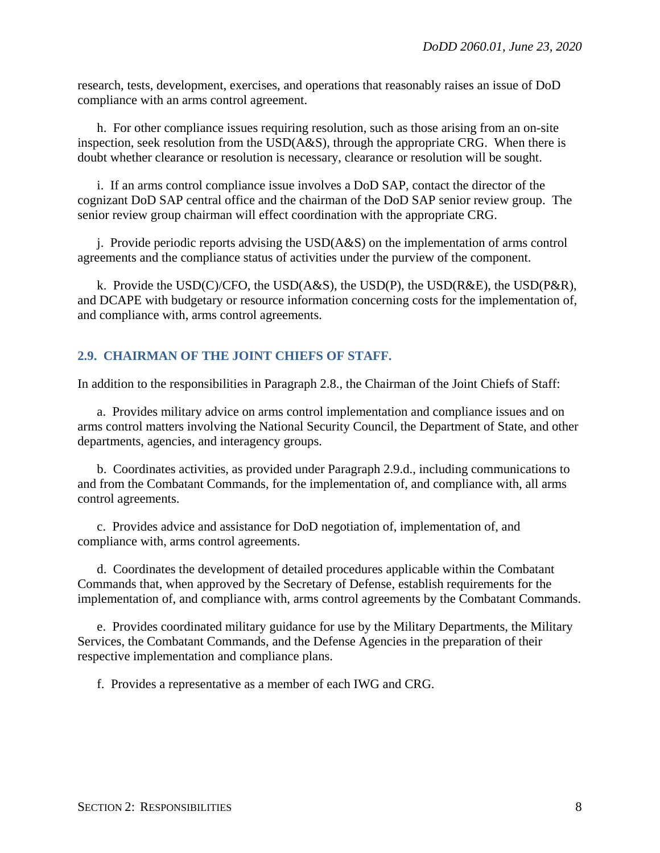research, tests, development, exercises, and operations that reasonably raises an issue of DoD compliance with an arms control agreement.

h. For other compliance issues requiring resolution, such as those arising from an on-site inspection, seek resolution from the  $USD(A&S)$ , through the appropriate CRG. When there is doubt whether clearance or resolution is necessary, clearance or resolution will be sought.

i. If an arms control compliance issue involves a DoD SAP, contact the director of the cognizant DoD SAP central office and the chairman of the DoD SAP senior review group. The senior review group chairman will effect coordination with the appropriate CRG.

j. Provide periodic reports advising the USD(A&S) on the implementation of arms control agreements and the compliance status of activities under the purview of the component.

k. Provide the USD(C)/CFO, the USD( $A&S$ ), the USD( $P$ ), the USD( $R&E$ ), the USD( $P&R$ ), and DCAPE with budgetary or resource information concerning costs for the implementation of, and compliance with, arms control agreements.

#### <span id="page-7-0"></span>**2.9. CHAIRMAN OF THE JOINT CHIEFS OF STAFF.**

In addition to the responsibilities in Paragraph 2.8., the Chairman of the Joint Chiefs of Staff:

a. Provides military advice on arms control implementation and compliance issues and on arms control matters involving the National Security Council, the Department of State, and other departments, agencies, and interagency groups.

b. Coordinates activities, as provided under Paragraph 2.9.d., including communications to and from the Combatant Commands, for the implementation of, and compliance with, all arms control agreements.

c. Provides advice and assistance for DoD negotiation of, implementation of, and compliance with, arms control agreements.

d. Coordinates the development of detailed procedures applicable within the Combatant Commands that, when approved by the Secretary of Defense, establish requirements for the implementation of, and compliance with, arms control agreements by the Combatant Commands.

e. Provides coordinated military guidance for use by the Military Departments, the Military Services, the Combatant Commands, and the Defense Agencies in the preparation of their respective implementation and compliance plans.

f. Provides a representative as a member of each IWG and CRG.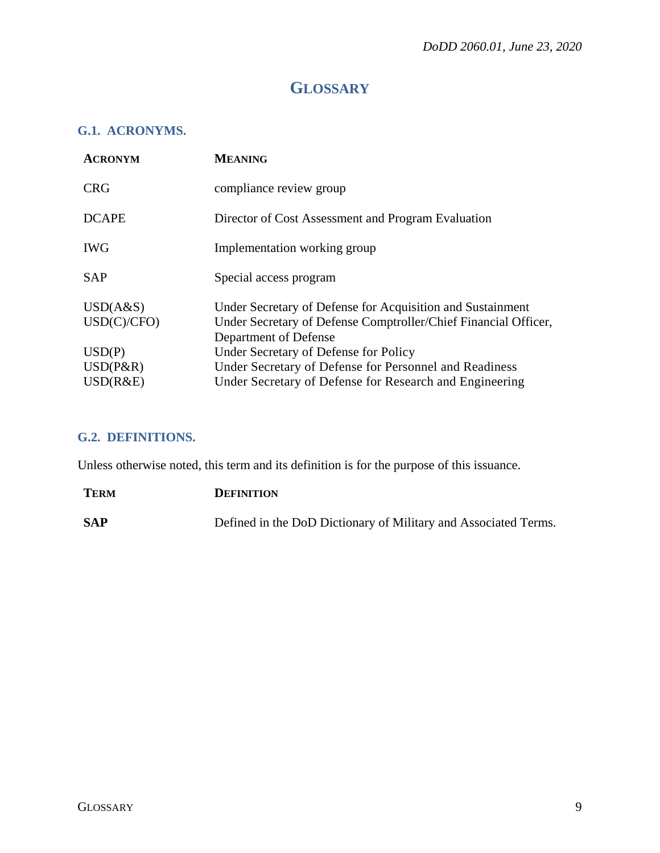## **GLOSSARY**

### <span id="page-8-1"></span><span id="page-8-0"></span>**G.1. ACRONYMS.**

| <b>MEANING</b>                                                                                                                                         |
|--------------------------------------------------------------------------------------------------------------------------------------------------------|
| compliance review group                                                                                                                                |
| Director of Cost Assessment and Program Evaluation                                                                                                     |
| Implementation working group                                                                                                                           |
| Special access program                                                                                                                                 |
| Under Secretary of Defense for Acquisition and Sustainment<br>Under Secretary of Defense Comptroller/Chief Financial Officer,<br>Department of Defense |
| Under Secretary of Defense for Policy                                                                                                                  |
| Under Secretary of Defense for Personnel and Readiness                                                                                                 |
| Under Secretary of Defense for Research and Engineering                                                                                                |
|                                                                                                                                                        |

### <span id="page-8-2"></span>**G.2. DEFINITIONS.**

Unless otherwise noted, this term and its definition is for the purpose of this issuance.

| <b>TERM</b> | <b>DEFINITION</b>                                               |
|-------------|-----------------------------------------------------------------|
| <b>SAP</b>  | Defined in the DoD Dictionary of Military and Associated Terms. |